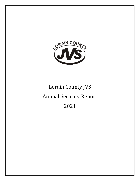

# Lorain County JVS Annual Security Report 2021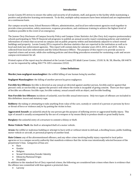#### **Introduction**

<span id="page-2-0"></span>Lorain County JVS strives to ensure the safety and security of all students, staff, and guests to the facility while maintaining a positive and productive learning environment. To do this, multiple safety measures have been initiated and are implemented on a continuous basis.

Our campus security team, School Resource Officers, administration, and local law enforcement agencies work together to provide crime prevention, safety awareness, response procedures, and continuous training to achieve the highest level of readiness possible in the event of an emergency.

The Jeanne Clery Disclosure of Campus Security Policy and Campus Crime Statistics Act (the Clery Act) requires postsecondary schools participating in Title IV financial aid programs to publish an annual security report containing policies and statistical information of crimes that occurred on campus and on public property within and immediately adjacent to school-owned buildings and property. Lorain County JVS is required to disclose statistics that are reported to the institution as well as to local and state law enforcement agencies. This report will contain data for calendar years 2013, 2014, and 2015. Data is collected from local law enforcement and the School Resource Officer. The purpose of this report is to provide access to reported crimes and arrests, while also outlining policies and describing procedures essential for sustaining a safe and secure campus environment for all.

<span id="page-2-1"></span>Printed copies of the report may be obtained at the Lorain County JVS Adult Career Center, 15181 St. Rt. 58, Oberlin, OH 44074 or can be requested by calling 440-774-1051 extension 22322.

#### **Crime Definitions**

**Murder/non-negligent manslaughter:** the willful killing of one human being by another.

**Negligent Manslaughter:** the killing of another person by gross negligence.

**Forcible Sex Offenses:** forcible is directed as any sexual act directed against another person, forcibly and/or against that person's will; or not forcibly or against the person's will where the victim is incapable of giving consent. There are four types of forcible sex offenses: forcible rape, forcible sodomy, sexual assault with an object, and forcible fondling.

**Non-Forcible Sex Offenses:** incidents of unlawful, non-forcible sexual intercourse. Only two types of offenses are included in this definition: incest and statutory rape.

**Robbery:** the taking or attempting to take anything from value of the care, custody or control of a person or persons by force or threat of force or violence and/or by putting the victim in fear.

**Aggravated Assault:** an unlawful attack by one person got the purpose of inflicting severe or aggravated bodily injury. This type of assault is usually accompanied by the use of a weapon or by means likely to produce death or great bodily harm.

**Burglary:** the unlawful entry of a structure to commit a felony or theft.

**Motor Vehicle Theft:** the theft or attempted theft of a motor vehicle.

**Arson:** the willful or malicious building or attempt to burn with or without intent to defraud, a dwelling house, public building, motor vehicle or aircraft, or personal property of another kind.

**Hate Crimes:** any of the aforementioned offenses, and any other crime involving bodily injury reported to local police agencies or to a campus security authority that manifests evidence that the victim was intentionally selected because of the perpetrator's bias. Categories of bias are:

- $\bullet$  Race
- Gender
- Religion
- Sexual Orientation/Gender Identity
- Ethnicity/National Origin
- Disability

In addition to the standard list of Clery reported crimes, the following are considered hate crimes when there is evidence that the offense was committed with bias against a protected class.

• Larceny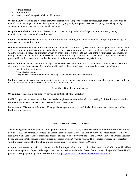- Simple Assault
- Intimidation
- Destruction/Damage/Vandalism of Property

**Weapon Law Violations:** the violation of laws or ordinances dealing with weapon offenses, regulatory in nature, such as: manufacture, sale, or possession of deadly weapons, carrying deadly weapons, concealed or openly, furnishing deadly weapons to minors, aliens possessing deadly weapons.

**Drug Abuse Violations:** violations of state and local laws relating to the unlawful possession, sale, use, growing, manufacturing, and making of narcotic drugs.

**Liquor Law Violations:** the violation of laws or ordinance prohibiting the manufacture, sale, transporting, furnishing, and possessing of intoxicating liquor.

**Domestic Violence:** a felony or misdemeanor crime of violence committed by a current or former spouse or intimate partner of the victim, a person with whom the victim shares a child in common, a person who is cohabitating with or has cohabitated with the victim as a spouse or intimate partner, a person similarly situated to a spouse of the victim under the domestic or family violence laws of the jurisdiction receiving grant monies or any other person against an adult or youth victim who is protected from that person's acts under the domestic or family violence laws of the jurisdiction.

**Dating Violence:** violence committed by a person who is in a social relationship of a romantic or intimate nature with the victim and where the existence of such relationship shall be determined based on a consideration of the following:

- Length of the relationship
- Type of relationship
- Frequency of the interaction between the persons involved in the relationship

<span id="page-3-0"></span>**Stalking:** engaging in a course of conduct directed at a specific person that would cause a reasonable person to fear for his or her safety or the safety of others or suffer substantial emotional stress.

#### **Crime Statistics – Reportable Areas**

**On-Campus** – any building or property owned or controlled by the institution.

**Public Property** – this area can be described as thoroughfares, streets, sidewalks, and parking facilities that are within the campus, or immediately adjacent to or accessible from the campus.

Lorain County JVS does not offer on or off campus housing to students or staff. It also does not own or lease any satellite locations or properties.

#### **Crime Statistics for 2018, 2019, 2020**

<span id="page-3-1"></span>The following information is provided and updated annually as directed by the U.S. Department of Education through Public Law 101-542, The Criminal Awareness and Campus Security Act of 1990. The Lorain County JVS School Resource Officers, along with Adult Career Center personnel, prepare this report to comply with the Jeanne Clery Disclosure of Campus Security Policy and Crime Statistics Act. This report can be located online at www.lcjvs.com. This report is prepared in cooperation with the Lorain County Sheriff's Office and the Lorain County JVS School Resource Officers.

Campus crime, arrest and referral statistics include those reported to the local police, designated school officials, and local law enforcement agencies. Copies of the report may also be obtained at the Adult Career Center or by calling (440) 774-1051. All prospective employees may obtain a copy online at [https://www.lcjvs.com/ConsumerInformation1.aspx.](https://www.lcjvs.com/ConsumerInformation1.aspx)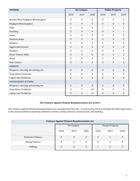| <b>OFFENSE</b>                      | <b>On-Campus</b> |                  |                  | <b>Public Property</b> |                  |                  |
|-------------------------------------|------------------|------------------|------------------|------------------------|------------------|------------------|
|                                     | 2018             | 2019             | 2020             | 2018                   | 2019             | 2020             |
| Murder/Non-Negligent Manslaughter   | $\boldsymbol{0}$ | $\boldsymbol{0}$ | $\boldsymbol{0}$ | $\boldsymbol{0}$       | $\boldsymbol{0}$ | $\boldsymbol{0}$ |
| Negligent Manslaughter              | $\boldsymbol{0}$ | $\mathbf{0}$     | $\boldsymbol{0}$ | $\boldsymbol{0}$       | $\mathbf{0}$     | $\boldsymbol{0}$ |
| Rape                                | $\boldsymbol{0}$ | $\theta$         | $\boldsymbol{0}$ | $\mathbf{1}$           | $\mathbf{1}$     | 3                |
| Fondling                            | $\mathbf{0}$     | $\mathbf{0}$     | $\mathbf{0}$     | $\mathbf{0}$           | $\mathbf{0}$     | $\mathbf{1}$     |
| Incest                              | $\theta$         | $\theta$         | $\bf{0}$         | $\boldsymbol{0}$       | $\mathbf{0}$     | $\boldsymbol{0}$ |
| <b>Statutory Rape</b>               | $\theta$         | $\theta$         | $\mathbf{0}$     | $\theta$               | $\mathbf{0}$     | $\mathbf{0}$     |
| Robbery                             | $\boldsymbol{0}$ | $\mathbf{0}$     | $\boldsymbol{0}$ | $\boldsymbol{0}$       | $\mathbf{0}$     | $\boldsymbol{0}$ |
| <b>Aggravated Assault</b>           | $\mathbf{0}$     | $\mathbf{0}$     | $\theta$         | $\theta$               | $\mathbf{0}$     | $\theta$         |
| Burglary                            | $\boldsymbol{0}$ | $\boldsymbol{0}$ | $\bf{0}$         | $\boldsymbol{0}$       | $\boldsymbol{0}$ | $\boldsymbol{0}$ |
| Motor Vehicle Theft                 | $\boldsymbol{0}$ | $\mathbf{0}$     | $\boldsymbol{0}$ | $\boldsymbol{0}$       | $\mathbf{0}$     | $\overline{2}$   |
| Arson                               | $\theta$         | $\Omega$         | $\mathbf{0}$     | $\theta$               | $\mathbf{0}$     | $\mathbf{0}$     |
| <b>Hate Crimes</b>                  | $\mathbf{0}$     | $\mathbf{0}$     | $\boldsymbol{0}$ | $\mathbf{0}$           | $\mathbf{0}$     | $\mathbf{0}$     |
| <b>ARRESTS</b>                      |                  |                  |                  |                        |                  |                  |
| Weapons: carrying, possessing, etc. | $\boldsymbol{0}$ | $\boldsymbol{0}$ | $\boldsymbol{0}$ | $\boldsymbol{0}$       | $\boldsymbol{0}$ | $\boldsymbol{0}$ |
| <b>Drug Abuse Violations</b>        | $\mathbf{0}$     | $\mathbf{0}$     | $\bf{0}$         | 4                      | $\mathbf{0}$     | 2                |
| <b>Liquor Law Violations</b>        | $\mathbf{0}$     | $\mathbf{0}$     | $\boldsymbol{0}$ | $\boldsymbol{0}$       | $\mathbf{0}$     | $\boldsymbol{0}$ |
| <b>DISCIPLINARY ACTIONS</b>         |                  |                  |                  |                        |                  |                  |
| Weapons: carrying, possessing, etc. | $\theta$         | $\theta$         | $\mathbf{0}$     | $\boldsymbol{0}$       | $\mathbf{0}$     | $\boldsymbol{0}$ |
| Drug Abuse Violations               | $\boldsymbol{0}$ | 7                | 10               | $\boldsymbol{0}$       | $\boldsymbol{0}$ | $\boldsymbol{0}$ |
| <b>Liquor Law Violations</b>        | $\mathbf{0}$     | $\mathbf{0}$     | $\mathbf{0}$     | $\overline{0}$         | $\overline{0}$   | $\mathbf{0}$     |

# **The Violence Against Women Reauthorization Act of 2013**

<span id="page-4-0"></span>The Violence Against Women Reauthorization Act amended the Clery Act. Lorain County JVS has included the following crimes in the annual statistical reporting: domestic violence, dating violence, sexual assault, and stalking.

| <b>Violence Against Women Reauthorization Act</b> |                  |                  |              |                         |          |          |  |
|---------------------------------------------------|------------------|------------------|--------------|-------------------------|----------|----------|--|
|                                                   | On-Campus        |                  |              | <b>Private Property</b> |          |          |  |
|                                                   | 2018             | 2019             | 2020         | 2018                    | 2019     | 2020     |  |
| Domestic Violence                                 | $\boldsymbol{0}$ | $\theta$         | $\mathbf{0}$ | 9                       | 5        | 9        |  |
| Dating Violence                                   | 0                | $\boldsymbol{0}$ | $\mathbf{0}$ | $\boldsymbol{0}$        | $\theta$ | 0        |  |
| <b>Stalking</b>                                   | $\boldsymbol{0}$ | $\theta$         | $\mathbf{0}$ |                         | $\Omega$ | $\theta$ |  |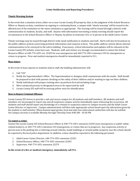#### **Crime Notification and Reporting Procedures**

# <span id="page-5-1"></span><span id="page-5-0"></span>**Timely Warning System**

In the event that a situation arises, either on or near Lorain County JVS property, that, in the judgment of the School Resource Officer or Deputy on duty, constitutes an ongoing or continuing threat, a campus wide "timely warning" will be issued to the affected area of the institution or the entire institution as appropriate. The warning will be issued through a district-wide communication to students, faculty, and staff. Anyone with information warranting a timely warning should report the circumstances to the School Resource Officer or Deputy, by phone at extension 333, or in person at the Adult Career Center.

Timely warnings may be issued through district-wide email notification to students and staff. Alerts will also be broadcast on the public address system concerning pertinent information and response actions. The public address system allows internal communications to be conveyed to the entire building. If necessary, critical information and updates will be released on the Lorain County JVS website, www.lcjvs.com. Students, staff, and visitors are strongly recommended to contact the School Resource Officer at 440-774-1051 ext. 22203 for non-emergencies and 440-774-1051 extension 333 for emergencies or crimes in progress. Fires and medical emergencies should be immediately reported to 911.

# <span id="page-5-2"></span>**Mass Injury**

In the event of mass injuries to students and/or staff, the building administrator will:

- 1. Call "333"
- 2. Notify the Superintendent's Office. The Superintendent or designee shall communicate with the media. Staff should be prepared to deal with parents checking on the safety of their children and/or wanting to sign out their children.
- 3. Notify individuals with proper training who can perform first aid including triage.
- 4. Move uninjured persons to designated areas to be supervised by staff.
- 5. Lorain County JVS staff will be wearing yellow vests for identification.

#### <span id="page-5-3"></span>**How to Report Criminal Offenses**

Lorain County JVS strives to provide a safe and secure campus for all students and staff members. All students and staff members are encouraged to report any and all suspicious campus activity immediately upon witnessing the occurrence. All students and staff should report any knowledge of a criminal or suspicious nature to campus security and the Adult Career Center Director or Supervisor. Campus administration will then take appropriate action based upon the information given by the student or staff member. When deemed appropriate, local and state law enforcement authorities will also be notified. On-Campus security is available Monday through Thursday from 8:00 AM - 10:30 PM.

#### **To report a crime:**

Contact the Lorain County JVS School Resource Officer at 440-774-1051 extension 22203 (non-emergencies or public safetyrelated matters), or 440-774-1051 extension 333 (emergencies or crimes that are in progress). Any suspicious activity or person seen in the parking lots or loitering around vehicles, inside buildings or around public property near the school should be reported to the local police department. In addition, crimes should be reported to the following personnel:

- 1. Adult Career Center Director, 440-774-1051 extension 22251
- 2. School Resource Officer, 440-774-1051 extension 22203
- 3. Supervisor, 440-774-1051 extension 22279

#### **In the event of a fire or medical emergency, immediately call 911.**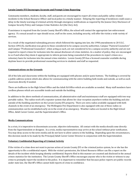# **Lorain County JVS Encourages Accurate and Prompt Crime Reporting**

Community members, students, faculty, staff, and guests are encouraged to report all crimes and public safety-related incidents to the School Resource Officer and local police in a timely manner. Delaying the reporting of incidences could cause a delay in the timely warning of criminal activity through emergency notifications as required by the Jeanne Clery Disclosure of Campus Security Policy and Campus Crime Statistics Act (the Clery Act).

If assistance is required from the Lorain County Sheriff's Office, the school will contact the appropriate law enforcement agency. If a sexual assault or rape should occur, staff on the scene, including security, will offer the victim a wide variety of services.

As a result of the negotiated rulemaking process which followed the signing into law, the 1998 amendments to 20 U.S.C. Section 1092 (f), clarification was given to those considered to be campus security authorities. Campus "Pastoral Counselors" and Campus "Professional Counselors", when acting as such, are not considered to be a campus security authority and are not required to report crimes for inclusion into the annual disclosure of crime statistics. As a matter of policy, they are encouraged to so if and when they deem it appropriate to inform persons being counseled of the procedures to report crimes on a voluntary basis for inclusion into the annual crime statistics. Lorain County JVS has a licensed counselor available during daytime hours to provide professional counseling services to students and staff as requested.

# <span id="page-6-0"></span>**Communications on the Grounds**

All of the labs and classrooms within the building are equipped with phones and/or panic buttons. The building is covered by a public address system which also allows for communicating with the entire building both inside and outside, as well as each classroom directly if needed.

There are bullhorns in the High School Office and the Adult Ed Office which are available as needed. Many staff members have cordless phones which are accessible inside and outside the building.

In addition to the above methods of communication, all administrative staff and maintenance staff are equipped with two way portable radios. The radios work off a repeater system that allows for clear reception anywhere within the building and also outside of the building anywhere on the Lorain County JVS property. There are extra radios available equipped with both channels in the event of an emergency. The Wellington Fire Department is also equipped with one of these radios so communication can be established early-on in the event of an emergency. Weather radios are located in the High School Office, Adult Career Center, and the Superintendent's Office.

# <span id="page-6-1"></span>**Media Communications**

In a crisis, it is imperative to disseminate accurate, objective information. All contact with the media should come directly from the Superintendent or designee. In a crisis, media representatives may arrive at the school without prior notification. You may deny access to the news media and do not have to allow camera in the building. Depending upon the circumstances, this decision needs to be made by the Principal/Adult Career Center Director in conjunction with the Superintendent.

# <span id="page-6-2"></span>**Voluntary Confidential Reporting of Criminal Activity**

If the victim of a crime does not want to pursue action at Lorain County JVS or the criminal justice system, he or she has the opportunity to file a confidential report. With the victim's permission, the School Resource Officer can file a report on the details of the incident while keeping identity confidential. Reports filed in this manner are counted and disclosed in the annual crimes statistics for the institution. The Lorain County Sheriff's Office encourages anyone who is the victim or witness to any crime to promptly report the incident to the police. It is important to remember that because police reports are public records under state law, the Sheriff's Office cannot hold reports of crime in confidence.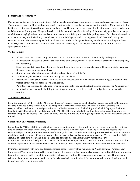#### **Facility Access and Enforcement Procedures**

#### <span id="page-7-1"></span><span id="page-7-0"></span>**Security and Access Policy**

During normal business hours, Lorain County JVS is open to students, parents, employees, contractors, guests, and invitees. The campus is secure, with all visitors and guests required to be screened prior to entering the building. Upon arrival to the facility, all vehicles must pass through a gate and be screened by a school security guard. All visitors are required to check in and check out with the guard. The guard tracks this information in a daily written log. School security guards are on campus at all times during high school hours and control access to the building, and patrol the parking areas. Guards are also on duty to provide security for the building over all weekends and holidays, as well as during second and third shift during the summer months. These security guards do not have arrest authority but provide timely notifications including fire alarm instances, alleged prowlers, and other potential hazards to the safety and security of the building and grounds to the appropriate authorities.

# **Visitor Policies**

- All visitors to the Lorain County JVS are to stop at the information center in the front lobby and register.
- All visitors will be issued a Visitor Pass with name, date of visit, time of visit and name of person in the building they will be visiting.
- Sales Representatives will register in the Superintendent's office and be issued a pass with the same information as the pass issued from the front office.
- Graduates and other visitors may visit after school dismissal at 2:14PM.
- Students may have no outside visitors during the school day.
- Parents must have prior approval from the student's instructor and the Principal before coming to the school for a visit and must register at the information center.
- Parents are encouraged to call ahead for an appointment to see an instructor, Guidance Counselor or Administrator.
- All outside groups using the building for meetings, seminars, etc. will be required to sign-in at the information counter.

# **After Hours Security**

From the hours of 4:30 PM – 10:30 PM, Monday through Thursday, evening adult education classes are held on the campus. Security measures during these hours include magnetic locks on the front doors, which require those entering to be recognized by a desk attendant and granted access. All other entrances to the building are locked. A deputy of the Lorain County Sheriff's Department is on duty from 5:30 PM – 10:30 PM and patrols the parking lots, hallways, and monitors the cameras that provide ongoing views of the building. Parking lots and the building and grounds are well lit are located close to the exits.

#### <span id="page-7-2"></span>**Campus Law Enforcement Authority**

Lorain County JVS Sheriff Office deputies have complete police authority to apprehend and arrest anyone involved in illegal acts on-campus and areas immediately adjacent to the campus. If minor offenses involving JVS rules and regulations are committed by a student, the School Resource Officer may also refer the individual to the appropriate school administrator for disciplinary actions. Major offenses are reported to the local police and law enforcement agencies. The prosecution of all criminal offenses, both felony and misdemeanor, are conducted at the Lorain County Municipal Court. Campus personnel work closely with local, state, and federal police agencies and have direct radio communication with the Sheriff's Department on the radio network. Lorain County JVS is also a part of the Lorain County 911 Emergency System.

By mutual agreement with state and federal agencies, school security office maintains an NLETS terminal (National Law Enforcement Telecommunications Network). Through this system, police personnel can access the National Crime Information Computer system as well as the Ohio Information Enforcement System. These computer databases are used for accessing criminal history data, nationwide police records, driver/vehicle identification information, as well as other local, state and federal law enforcement information.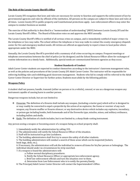#### <span id="page-8-0"></span>**The Role of the Lorain County Sheriff's Office**

Lorain County JVS recognizes that laws and rules are necessary for society to function and supports the enforcement of law by governmental agencies and rules by officials of the institution. All persons on the campus are subject to these laws and rules at all times. Lorain County JVS is public property and Constitutional protections apply. Law enforcement officers may enter the campus to conduct business as needed.

The exercise of that authority is described in a "memorandum of understanding" (MOU) between Lorain County JVS and the Lorain County Sheriff's Office. The Board of Education votes on and approves the MOU annually.

The Lorain County Sheriff's Office is notified of all serious crime on campus, and is immediately notified of major crimes via the telephone or two-way radio. The school utilizes the telephone or two-way radio to contact the county emergency dispatch center for fire and emergency medical needs. All victims are offered an opportunity to report crimes to local police where appropriate under the MOU.

Annually, the Lorain County Sheriff is provided with a summary of all crime occurring on campus. Frequent meetings or telephone conversations between the chief of police (or his designee) and the School Resource Officer allow for exchanges of routine information on a timely basis. Additionally, special needs are communicated between agencies as they occur.

#### **Student Standards of Conduct**

<span id="page-8-1"></span>Adult Career Center students are expected to conduct themselves according to the instructors' classroom management rules, as well as the policies and procedures of the Lorain County JVS Adult Career Center. The instructor will be responsible for enforcing building rules and exhibiting good classroom management. Students who fail to comply will be referred to the Adult Career Center Director or Supervisor for further action. Students must abide by the following policies:

# <span id="page-8-2"></span>**Weapons Policy**

A student shall not possess, handle, transmit (either on person or in a vehicle), conceal, or use as a dangerous weapon any instrument capable of causing harm to another person.

Dangerous weapons include, but are not limited to:

- $\div$  Firearms: The definition of a firearm shall include any weapon, (including a starter gun) which will or is designed to or may readily be converted to expel a projectile by the action of an explosive; the frame or receiver of any such weapon; any firearm muffler or firearm silencer; or any destructive device which includes any explosive, incendiary, or poison gas including bombs, both homemade and of the fireworks type, missiles, mines, and military ordinance, including bullets and shells.
- $\triangle$  Knife: The definition of a knife includes, but is not limited to, a sharp blade-cutting instrument.

Any person seeing a weapon or becoming aware of a weapon being on school property shall:

- 1. Immediately notify the administration by calling 333.
- 2. The administration will notify the School Resource Officer of the situation.
- 3. Staff will be instructed to go into Lockdown.
- 4. The building administrators shall first try to assure the safety of all other students.

5. The building administrators will conduct a search of those areas which can be inspected (lockers,

book bags, desk, etc.).

6. If necessary, the administrators will ask the individual to remove all items for his/her person or belongings. The individual should under no circumstances be strip-searched.

7. If a weapon is found the administrators will:

- a. Follow normal disciplinary procedures.
- b. Notify the School Resource Officer or appropriate law enforcement agency.
- c. Brief law enforcement officials and turn the situation over to them.
- d. Determine from Law Enforcement who is to notify the parents/family.
- 8. The Principal/Adult Career Center Director will contact the Superintendent's Office.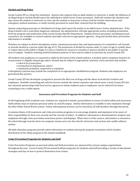# <span id="page-9-0"></span>**Alcohol and Drug Policy**

Lorain County JVS is a drug-free institution. Anyone who suspects that an adult student or instructor is under the influence of an illegal drug or alcohol should report the individual to Adult Career Center personnel. Staff will evaluate the situation and may return the student or instructor to class, ask the student or instructor to leave, hold for further observation, seek emergency medical assistance, or notify security personnel to assist their removal from the building.

Anyone suspecting possession or distribution of drugs shall report the matter to an Adult Career Center administrator. If the drug is found to be a controlled, dangerous substance, the administrator will take appropriate action, including termination from the program and notification of the Lorain County Sheriff's Department. Student Services personnel, including licensed counselors, are available to counsel students and make referrals to appropriate agencies. Drug and alcohol abuse prevention information is available.

Violators are subject to district disciplinary action, criminal prosecution, fine and imprisonment. It is unlawful to sell, furnish or provide alcohol to a person under the age of 21. The possession of alcohol by anyone under 21 years of age in a public place or a place open to the public is illegal. It is also a violation for anyone to consume or possess alcohol in any public or private area of campus. Students violating alcohol/substance policies or laws may be subject to sanctions by Lorain County JVS.

All students and employees are expected to abide by the terms of the schools policies. A student and/or employee found to be in possession or illegally using drugs and/or alcohol may be subject to appropriate sanctions. Such sanctions may include:

- referral for prosecution,
- termination of employment, and/or
- reprimand, probation, suspension or expulsion.

A disciplinary sanction may include the completion of an appropriate rehabilitation program. Students and employees are guaranteed due process.

Lorain County JVS has developed a program to prevent the illicit use of drugs and the abuse of alcohol by students and employees. Available counseling and referral services include the school counselor and school nurse. Lorain County JVS also has extensive partnerships with local service agencies to whom students and/or employees can be referred if in-house counseling is not a viable option.

#### **Awareness and Prevention Programs for Students and Staff**

<span id="page-9-1"></span>At the beginning of the academic year, students are required to attend a presentation on issues of school safety and awareness. Staff outlines ways to maintain personal safety on and off campus. Similar information is available to new employees through the Ohio Public School Works system. Online informational sessions can be viewed by all staff members through this portal.

A common theme of all awareness and crime prevention programs is to encourage students and employees to be aware of their responsibility for their own security and the security of others. In addition, information is disseminated to students and employees through crime prevention awareness posters and displays. When time is of the essence, information is released to the school through security alerts via computer memos sent over the school's electronic mail system and a public address system.

All adult education programs provide safety information to students during the program orientation which includes distribution of the safety program in the student handbook.

#### **Crime Prevention Programs for Students and Staff**

Crime Prevention Programs on personal safety and theft prevention are sponsored by various campus organizations throughout the year. Lorain County JVS personnel facilitate programs for students and staff providing a variety of educational strategies and tips on how to protect themselves from crimes.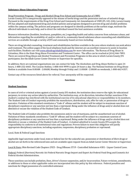#### <span id="page-10-0"></span>**Substance Abuse Education Programs**

#### Drug Prevention Program - Drugs and Alcohol (Drug-Free School and Community Act of 1989)

Lorain County JVS is unequivocally opposed to the misuse of lawful drugs and the possession and use of unlawful drugs. Pursuant to the requirements of the Drug-Free School and Community Act Amendments of 1989 (PL 101-226), Lorain County JVS has adopted and implemented drug and alcohol policies and programs designed to prevent drug and alcohol problems within the campus setting. The policies and programs are designed to identify problems at the earliest stage, motivate the affected individuals to seek help, and to direct the individual toward the best assistance available.

Resource information (booklets, brochures, pamphlets, etc.) regarding health and safety concerns from substance abuse, and information regarding the availability of, and/or referral to, community-based substance abuse counseling and rehabilitation services are available through a variety of JVS and community-based services including:

There are drug/alcohol counseling, treatment and rehabilitation facilities available in the area where students can seek advice and treatment. The yellow pages of the local telephone book and the internet are an excellent resource to assist in location such facilities. Students can visi[t www.ohiodrugrehabilitation.com](http://www.ohiodrugrehabilitation.com/) for more information. The Bureau of Drug Abuse in Columbus, Ohio is the State Drug Abuse Prevention and Treatment Center. The office can be reached at (614) 466-7893. There are several Drug Abuse and Alcohol Treatment and Prevention Programs in this area in which Lorain County JVS participates. See the Adult Career Center Director or Supervisor for specifics.

In addition, there are national organizations one can contact for help. The Alcoholism and Drug Abuse Hotline is open 24 hours, 1-800-252-6465. The Cocaine Hotline, 1-800-444-9999 is open 24 hours a day. The National Institute on Drug Abuse Hotline is available from 8:00AM - 2:00AM, Monday through Friday and 11:00AM - 2:00AM on weekends, 1-800-662-4357.

<span id="page-10-1"></span>Contact any of the resources listed above for referral. Your anonymity will be respected.

#### **Sanctions**

#### <span id="page-10-2"></span>**Student Sanctions**

In cases of civil or criminal action against a Lorain County JVS student, the institution does reserve the right, for educational purposes, to review any action taken by authorities. The institution may, at its discretion, introduce further sanctions if the student's conduct has interfered with the institutional exercise of its educational objectives or responsibilities to its members. The Student Code of Conduct expressly prohibits the manufacture, distribution, sale, offer for sale, or possession of drugs or narcotics. Violation of this standard constitutes a "Code A" offense and the student will be subject to maximum sanction of disciplinary expulsion or any sanction not less than a reprimand. Being under the influence of drugs and/or alcohol does not diminish or excuse the violation of the Student Code of Conduct.

The Student Code of Conduct also prohibits the possession and/or use of marijuana, and the unauthorized use of alcohol. Violation of these standards constitutes a "Code B" offense and the student will be subject to a maximum sanction of disciplinary probation or any sanction not less than a reprimand. Being under the influence of drugs and/or alcohol does not diminish or excuse a violation of the Student Code of Conduct. A student admitted to Lorain County JVS accepts the responsibility to conform to all institutional rules and regulations. Proven failure to meet this obligation will justify appropriate disciplinary sanctions, including expulsion, suspension, disciplinary probation or reprimand.

<span id="page-10-3"></span>Local, State & Federal Legal Sanctions

Applicable legal sanctions under local, state or federal law for the unlawful use, possession or distribution of illicit drugs or alcohol are set forth in the referenced laws and are available upon request from an Adult Career Center Director or Supervisor.

Local & State: Ohio Revised Code Chapters 2925 - Drug Offenses 3719 - Controlled Substances 4301 - Liquor Control Laws.

Federal: Federal (Harrison) Narcotic Act Federal Narcotic Drugs Import and Export Act Federal Food Drug and Cosmetic Act Federal Alcohol Administration.

These sanctions can include probation, fines, driver's license suspension, and/or incarceration. Future revisions, amendments, or additions to these or other applicable codes are incorporated into this policy by this reference. Federal penalties and sanctions for illegal possession of a controlled substance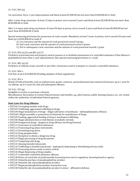21. U.S.C. 844 (a).

1st conviction: Up to 1 year imprisonment and fined at least \$1,000.00 but not more than \$100,000.00 or both.

After 1 prior drug conviction: At least 15 days in prison, not to exceed 2 years and fined at least \$2,500.00 but not more than \$250,000.00 or both.

After 2 or more prior drug convictions: At least 90 days in prison, not to exceed 3 years and fined at least \$5,000.00 but not more than \$250,000.00 or both.

Special sentencing provisions for possession of crack cocaine: Mandatory at least 5 years in prison, not to exceed 20 years and fined up to \$250,000.00 or both if:

- A.) 1st conviction and the amount of crack possessed exceed 5 grams.
- B.) 2nd crack conviction and the amount of crack possessed exceed 3 grams.
- C.) 3rd or subsequent crack conviction and the amount of crack possessed exceeds 1 gram.

#### 22. U.S.S. 853 (a) (2) and 881 (a) (7)

Forfeiture of personal and real property used to possess or to facilitate possessions of a controlled substance if that offense is punishable by more than 1-year imprisonment. (See special sentencing provisions re: crack)

#### 21. U.S.C. 881 (a) (4)

Forfeiture of vehicles, boats, aircraft or any other conveyance used to transport or conceal a controlled substance.

21. U.S.C. 844 a

Civil fine of up to \$10,000.00 (Pending adoption of final regulations).

#### 21. U.S.C. 853 a

Denial of Federal benefits, such as student loans, grants, contracts, and professional and commercial licenses, up to 1 year for 1st offense, up to 5 years for 2nd and subsequent offenses.

#### 18. U.S.C. 922 (g)

Ineligible to receive or purchase a firearm.

Miscellaneous: Revocation of certain Federal licenses and benefits, e.g., pilot licenses, public housing tenancy, etc., are vested within the authorities of individual Federal agencies.

#### <span id="page-11-0"></span>**State Laws For Drug Offenses**

• 2925.02 Corrupting another with drugs.

- 2925.03 Trafficking, aggravated trafficking in drugs.
- 2925.04 Illegal manufacture of drugs illegal cultivation of marihuana methamphetamine offenses.
- 2925.041 Illegal assembly or possession of chemicals for manufacture of drugs.
- 2925.05 Funding, aggravated funding of drug or marihuana trafficking.
- 2925.06 Illegal administration or distribution of anabolic steroids.
- 2925.09 Unapproved drugs dangerous drug offenses involving livestock.
- 2925.11 Possession of controlled substances.
- 2925.12 Possessing drug abuse instruments.
- 2925.13 Permitting drug abuse.
- 2925.14 Drug paraphernalia.
- 2925.22 Deception to obtain a dangerous drug.
- 2925.23 Illegal processing of drug documents.
- 2925.24 Tampering with drugs.
- 2925.31 Abusing harmful intoxicants.
- 2925.32 Trafficking in harmful intoxicants improperly dispensing or distributing nitrous oxide.
- 2925.33 Possessing nitrous oxide in motor vehicle.
- 2925.36 Illegal dispensing of drug samples.
- 2925.37 Counterfeit controlled substance offenses.
- 2925.38 Notice of conviction of professionally licensed person sent to regulatory, licensing board or agency
- 2925.55 Unlawful purchase of pseudoephedrine product.
- 2925.56 Unlawful sale of pseudoephedrine product.
- 2925.57 Illegal pseudoephedrine product transaction scan.
- 2925.58 Unlawful sale of pseudoephedrine product to minor affirmative defense.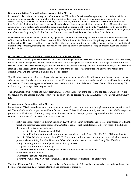#### **Sexual Offense Policy and Procedures**

#### <span id="page-12-1"></span><span id="page-12-0"></span>**Disciplinary Actions Against Students accused of Sex Offenses**

In cases of civil or criminal action against a Lorain County JVS student, for crimes relating to allegations of dating violence, domestic violence, sexual assault or stalking, the institution does reserve the right, for educational purposes, to review any action taken by authorities. The institution may, at its discretion, introduce further sanctions if the student's conduct has interfered with the institutional exercise of its educational objectives or responsibilities to its members. These actions are considered serious violations to acceptable codes of conduct for students of Lorain County JVS Adult Career Center and the student will be subject to maximum sanction of disciplinary expulsion or any sanction not less than a reprimand. Being under the influence of drugs and/or alcohol does not diminish or excuse the violation of the Student Code of Conduct.

Such disciplinary actions will be conducted by a panel of school officials including the Adult Director, the Student Resource Officer, the Student Services Coordinator, and the Title IX Coordinator. At all times the disciplinary process shall remain fair and impartial. The accuser and the accused shall have the same opportunities to have others present during any institutional disciplinary proceeding, including the opportunity to be accompanied to any related meeting or proceeding by the advisor of his/her choice.

# <span id="page-12-2"></span>**Disclosures to Victims of Violent Crimes or Non-Forcible Sex Offenses**

Lorain County JVS will, upon written request, disclose to the alleged victim of a crime of violence, or a non-forcible sex offense, the results of any disciplinary hearing conducted by the institution against the student who is the alleged perpetrator of the crime or offense. Such crimes include, but are not limited to allegations of dating violence, domestic violence, sexual assault or stalking. If the alleged victim is deceased as a result of the crime or offense, the institution will provide the results of the disciplinary hearing to the victim's next of kin, if so requested.

Should either party involved in the alleged crime wish to appeal the result of the disciplinary action, the party may do so by submitting, in writing, the intent to appeal and the specific reasons and circumstances that should be considered in reviewing the decision. This written appeal must be submitted to the administration of the Adult Career Center of Lorain County JVS within 15 days of receipt of the original results.

The administration will respond to the appeal within 15 days of the receipt of the appeal and the decision will be provided to the accuser and the accused simultaneously. This decision shall be deemed final by the Adult Career Center of Lorain County IVS.

#### **Preventing and Responding to Sex Offenses**

Lorain County JVS educates the student community about sexual assaults and date rape through mandatory orientations each fall. The Adult Career Center partners with the Genesis House. This facility has Community Outreach staff available to speak to groups and hold educational training in regards to domestic violence. These programs are provided to Adult Education students. In the event of a reported rape or sexual assault:

1. Notify the School Resource Officer at extension 22203. If you cannot contact the School Resource Officer by calling the telephone extension, request a school administrator to contact the School Resource Officer by radio. If the School Resource Officer is not available, call:

a. High School Office, extension 22270

 b. Notify Administrator to call appropriate personnel and Lorain County Sheriff's Office **OR** Lorain County Sherriff's Office Telephone Number: 440-323-1212. A school employee may request to have a school administrator present when notifying the School Resource Officer, Children Services, or the Lorain County Sheriff's Office.

- 2. Notify a building administrator if you have not already done so.
- 3. If appropriate, the administrator may:
	- a. Contact the School Resource Officer, if the Officer has not already been contacted.
	- b. Phone the parent/family.
	- c. Contact the counselor and/or nurse.
	- d. Notify Lorain County JVS Crisis Team and assign additional responsibilities as appropriate

The School Resource Officer, Children Services, or Lorain County Sheriff's Office will decide whether the victim will go to the hospital or another facility for medical attention and gathering of evidence.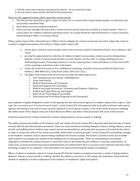a. Tell the victim not to destroy any physical evidence. Do not wash the victim.

b. Do not wash or clean articles touched by the perpetrator.

These are the suggested actions when reporting a sexual assault:

- 1. The first priority should be to get to a place of safety. Get in contact with a friend, family member or individual who can provide immediate help.
- 2. Next, obtain necessary medical treatment.
- 3. School security strongly advocates that a victim of sexual assault report the incident in a timely manner. Time is a critical factor for evidence collection and preservation. An assault should be reported directly to a school counselor, School Resource Officer, or security official.

Filing a police report with a School Resource Officer will not obligate the victim to prosecute, nor will it subject the victim to scrutiny or judgmental opinions from officers. Filing a police report will:

- ensure that a victim of sexual assault receives the necessary medical treatment and tests, at no expense to the victim;
- provide the opportunity for collection of evidence helpful in prosecution, which cannot be obtained later (ideally a victim of sexual assault should not wash, douche, use the toilet, or change clothing prior to a medical/legal exam). Preserving evidence is crucial to proving that a crime took place or in the event of the victim acquiring a protection order in the future.
- assure the victim has access to free confidential counseling. Possible resources include the Rape Crisis Hotline (1-800-888-6161) of the Nord Center (440-233-7232).
- The Rape Crisis Center of the Nord Center provides the following services:
	- $\checkmark$  24/7 Emergency/Crisis Hotline 1.800.888.6161
	- $\checkmark$  Crisis Intervention
	- $\checkmark$  Medical Assessment and Treatment
	- Emotional Support and Counseling
	- $\checkmark$  Medical and Legal Assessment, Treatment and Evidence Collection
	- $\checkmark$  Medical and Legal Advocacy and Support
	- $\checkmark$  Referrals for Psychological Counseling
	- $\checkmark$  Educational and Prevention Programs in the Community

Any employee is legally obligated to report to the appropriate law enforcement agency if a student reports that a rape or "date rape" has occurred even if it occurred out of school. Lorain County JVS will cooperate with local police and laws enforcement agencies pertaining to any and all sexual assaults reported as occurring on-campus. If the victim needs assistance notifying law enforcement of the alleged crime, the School Resource Officer and other school personnel will assist in this process.

<span id="page-13-0"></span>Protective measures for victims of domestic violence, dating violence, sexual assault, or stalking

The safety and personal welfare of all students, staff, and visitors of Lorain County JVS is the most important priority of school security officials and administrative personnel. There are some situations involving domestic violence, dating violence, sexual assault, and stalking where students may require special accommodations and protective measures to be made by the school in order to ensure the safety of the victim or possible victim while on school grounds. Lorain County JVS can facilitate changes to the student's academic and/or daily working conditions for security reasons. For instance, security escorts are available upon request to accompany the student in the building and on school grounds. These accommodations are available regardless of whether the student chooses to report the crime to the School Resource Officer or local law enforcement. In some cases, security personnel and school administration are notified when there is an active court-ordered protection order involving a student or an employee. This information can assist in protecting the student or employee.

When a student or employee reports to Lorain County JVS that the student or employee has been a victim of dating violence, domestic violence, sexual assault or stalking, whether the offense occurred on or off-campus, the institution will provide the student or employee a written explanation of the student's or employee's rights and options.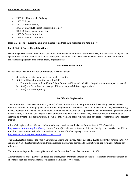#### <span id="page-14-0"></span>**State Laws for Sexual Offenses**

- 2903.211 Menacing by Stalking
- 2907.02 Rape
- 2907.03 Sexual Battery
- 2907.04 Unlawful Sexual Contact with a Minor
- 2907.05 Gross Sexual Imposition
- 2907.06 Sexual Imposition
- 2919.25 Domestic Violence

Note: Ohio does not currently have laws in place to address dating violence affecting minors.

#### <span id="page-14-1"></span>**Local, State & Federal Legal Sanctions**

Depending on the nature of the offense, including whether the violation is a first time offense, the severity of the injuries and age of the victim and other specifics of the crime, the convictions range from misdemeanor to third degree felony with sentences ranging from fines to mandatory imprisonment.

#### **Suicide/Suicide Attempt**

<span id="page-14-2"></span>In the event of a suicide attempt or immediate threat of suicide:

- 1. Get assistance find someone to stay with the victim
- 2. Notify building administration by calling 333
	- a. The administrator will notify the School Resource Officer and call 911 if the police or rescue squad is needed
	- b. Notify the Crisis Team and assign additional responsibilities as appropriate
	- c. Notify the parents/family

#### **Sex Offender Registration**

<span id="page-14-3"></span>The Campus Sex Crimes Prevention Act (CSCPA) of 2000 is a federal law that provides for the tracking of convicted sex offenders enrolled at, or employed at, institutions of higher education. The CSCPA is an amendment to the Jacob Wetterling Crimes Against Children and Sexually Violent Offender Act. The federal law requires state law enforcement agencies to provide Lorain County JVS with a list of registered sex offenders who have indicated that they are either enrolled, employed or carrying on a vocation at the institution. Lorain County JVS has a list of registered sex offenders for reference in the security manual.

A list of all registered sex offenders in Lorain County is available at the Lorain County Sheriff Office's website, [http://www.loraincountysheriff.com/.](http://www.loraincountysheriff.com/) Lorain County JVS is located in Oberlin, Ohio and the zip code is 44074. In addition, the Ohio Department of Rehabilitation and Correction sex offender registry is available at [http://www.drc.ohio.gov/OffenderSearch.search.aspx.](http://www.drc.ohio.gov/OffenderSearch.search.aspx)

The CSCPA further amends the Family Educational Rights and Privacy Act of 1974 (FERPA) to clarify that nothing in the Act can prohibit an educational institution from disclosing information provided to the institution concerning registered sex offenders.

This statement is provided in compliance with the Campus Sex Crimes Prevention Act of 2000.

All staff members are required to undergo pre-employment criminal background checks. Mandatory criminal background checks are required for students entering career training in service fields.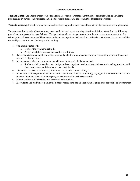# **Tornado/Severe Weather**

<span id="page-15-0"></span>**Tornado Watch:** Conditions are favorable for a tornado or severe weather. Central office administration and building principal/adult career center director shall monitor radio broadcasts concerning the threatening weather.

**Tornado Warning:** Indicates actual tornadoes have been sighted in the area and tornado drill procedures are implemented.

Tornadoes and severe thunderstorms may occur with little advanced warning, therefore, it is important that the following procedures and precautions are followed: To signal a tornado warning or severe thunderstorm, an announcement on the school public address system will be made to indicate the steps that shall be taken. If the electricity is out, instructors will be notified by a runner in each hallway in the building.

- 1. The administrator will:
	- a. Monitor the weather alert radio.
	- b. Assign an adult to observe the weather conditions.
- 2. If a tornado is confirmed, the administration will make the announcement for a tornado drill and follow the normal tornado drill procedures.
- 3. All classrooms, labs, and common areas will have the tornado drill plan posted.
	- a. Students shall proceed to their designated areas against a wall and they shall assume kneeling positions with their heads down and their hands over their heads.
- 4. Silence is critical so that necessary directions can be called down hallways.
- 5. Instructors shall keep their class rosters with them during the drill or warning, staying with their students to be sure they are following the drill or emergency procedures and to verify class count.
- 6. Administration will determine if utilities will be turned off.
- 7. All students and staff will remain in their shelter areas until the all clear signal is given over the public address system.